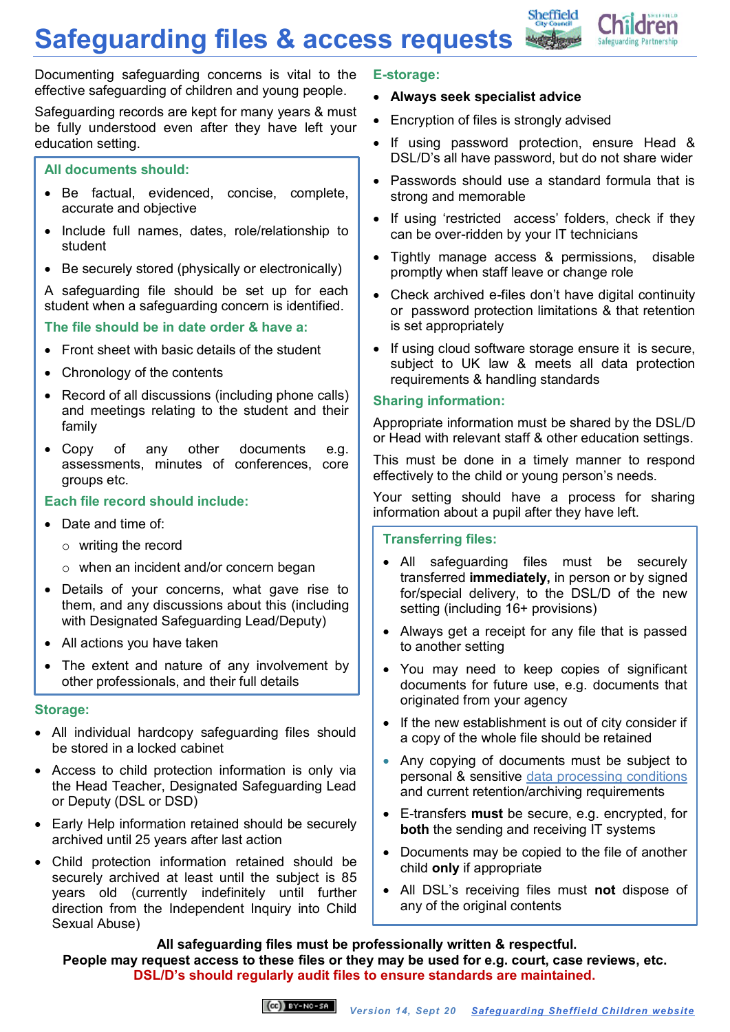**Safeguarding files & access requests**



Documenting safeguarding concerns is vital to the effective safeguarding of children and young people.

Safeguarding records are kept for many years & must be fully understood even after they have left your education setting.

## **All documents should:**

- Be factual, evidenced, concise, complete, accurate and objective
- Include full names, dates, role/relationship to student
- Be securely stored (physically or electronically)

A safeguarding file should be set up for each student when a safeguarding concern is identified.

# **The file should be in date order & have a:**

- Front sheet with basic details of the student
- Chronology of the contents
- Record of all discussions (including phone calls) and meetings relating to the student and their family
- Copy of any other documents e.g. assessments, minutes of conferences, core groups etc.

# **Each file record should include:**

- Date and time of:
	- o writing the record
	- o when an incident and/or concern began
- Details of your concerns, what gave rise to them, and any discussions about this (including with Designated Safeguarding Lead/Deputy)
- All actions you have taken
- The extent and nature of any involvement by other professionals, and their full details

### **Storage:**

- All individual hardcopy safeguarding files should be stored in a locked cabinet
- Access to child protection information is only via the Head Teacher, Designated Safeguarding Lead or Deputy (DSL or DSD)
- Early Help information retained should be securely archived until 25 years after last action
- Child protection information retained should be securely archived at least until the subject is 85 years old (currently indefinitely until further direction from the Independent Inquiry into Child Sexual Abuse)

#### **E-storage:**

## **Always seek specialist advice**

- Encryption of files is strongly advised
- If using password protection, ensure Head & DSL/D's all have password, but do not share wider
- Passwords should use a standard formula that is strong and memorable
- If using 'restricted access' folders, check if they can be over-ridden by your IT technicians
- Tightly manage access & permissions, disable promptly when staff leave or change role
- Check archived e-files don't have digital continuity or password protection limitations & that retention is set appropriately
- If using cloud software storage ensure it is secure, subject to UK law & meets all data protection requirements & handling standards

# **Sharing information:**

Appropriate information must be shared by the DSL/D or Head with relevant staff & other education settings.

This must be done in a timely manner to respond effectively to the child or young person's needs.

Your setting should have a process for sharing information about a pupil after they have left.

### **Transferring files:**

- All safeguarding files must be securely transferred **immediately,** in person or by signed for/special delivery, to the DSL/D of the new setting (including 16+ provisions)
- Always get a receipt for any file that is passed to another setting
- You may need to keep copies of significant documents for future use, e.g. documents that originated from your agency
- If the new establishment is out of city consider if a copy of the whole file should be retained
- Any copying of documents must be subject to personal & sensitive [data processing conditions](https://ico.org.uk/for-organisations/guide-to-the-general-data-protection-regulation-gdpr/lawful-basis-for-processing/) and current retention/archiving requirements
- E-transfers **must** be secure, e.g. encrypted, for **both** the sending and receiving IT systems
- Documents may be copied to the file of another child **only** if appropriate
- All DSL's receiving files must **not** dispose of any of the original contents

**All safeguarding files must be professionally written & respectful. People may request access to these files or they may be used for e.g. court, case reviews, etc. DSL/D's should regularly audit files to ensure standards are maintained.**